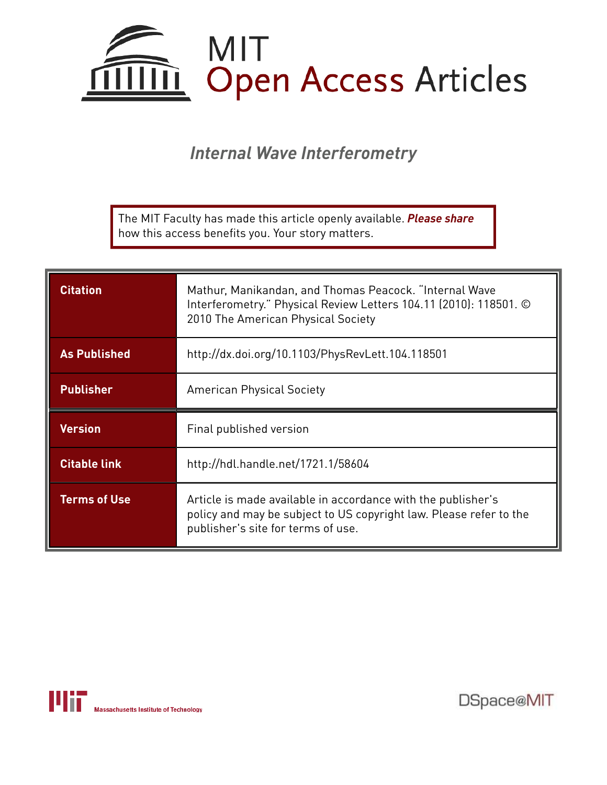

*Internal Wave Interferometry*

The MIT Faculty has made this article openly available. *Please share*  how this access benefits you. Your story matters.

| <b>Citation</b>     | Mathur, Manikandan, and Thomas Peacock. "Internal Wave<br>Interferometry." Physical Review Letters 104.11 (2010): 118501. ©<br>2010 The American Physical Society |
|---------------------|-------------------------------------------------------------------------------------------------------------------------------------------------------------------|
| <b>As Published</b> | http://dx.doi.org/10.1103/PhysRevLett.104.118501                                                                                                                  |
| <b>Publisher</b>    | <b>American Physical Society</b>                                                                                                                                  |
|                     |                                                                                                                                                                   |
| Version             | Final published version                                                                                                                                           |
| <b>Citable link</b> | http://hdl.handle.net/1721.1/58604                                                                                                                                |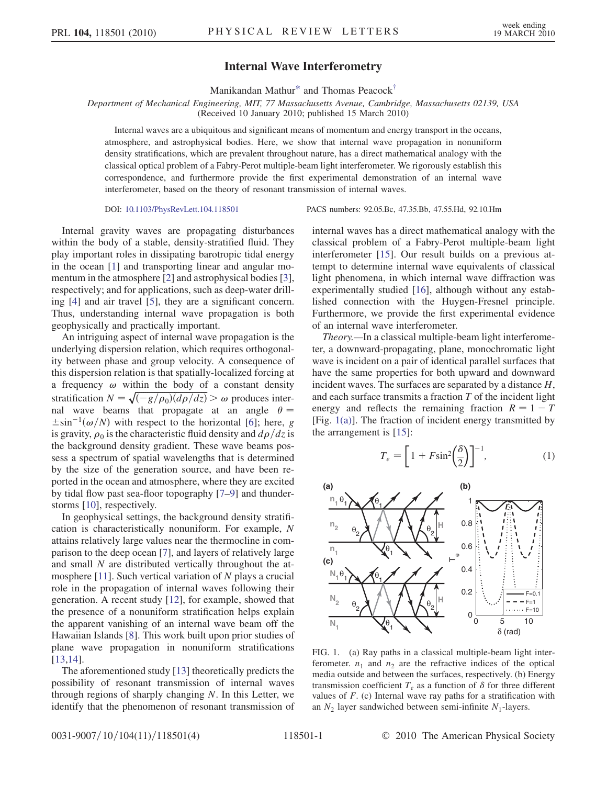## Internal Wave Interferometry

Manikandan Mathur\* and Thomas Peacock†

Department of Mechanical Engineering, MIT, 77 Massachusetts Avenue, Cambridge, Massachusetts 02139, USA

(Received 10 January 2010; published 15 March 2010)

Internal waves are a ubiquitous and significant means of momentum and energy transport in the oceans, atmosphere, and astrophysical bodies. Here, we show that internal wave propagation in nonuniform density stratifications, which are prevalent throughout nature, has a direct mathematical analogy with the classical optical problem of a Fabry-Perot multiple-beam light interferometer. We rigorously establish this correspondence, and furthermore provide the first experimental demonstration of an internal wave interferometer, based on the theory of resonant transmission of internal waves.

DOI: 10.1103/PhysRevLett.104.118501 PACS numbers: 92.05.Bc, 47.35.Bb, 47.55.Hd, 92.10.Hm

Internal gravity waves are propagating disturbances within the body of a stable, density-stratified fluid. They play important roles in dissipating barotropic tidal energy in the ocean [1] and transporting linear and angular momentum in the atmosphere [2] and astrophysical bodies [3], respectively; and for applications, such as deep-water drilling [4] and air travel [5], they are a significant concern. Thus, understanding internal wave propagation is both geophysically and practically important.

An intriguing aspect of internal wave propagation is the underlying dispersion relation, which requires orthogonality between phase and group velocity. A consequence of this dispersion relation is that spatially-localized forcing at a frequency  $\omega$  within the body of a constant density stratification  $N = \sqrt{\frac{-g}{\rho_0}(d\rho/dz)} > \omega$  produces internal wave beams that propagate at an angle  $\theta =$  $\pm \sin^{-1}(\omega/N)$  with respect to the horizontal [6]; here, g is gravity,  $\rho_0$  is the characteristic fluid density and  $d\rho/dz$  is the background density gradient. These wave beams possess a spectrum of spatial wavelengths that is determined by the size of the generation source, and have been reported in the ocean and atmosphere, where they are excited by tidal flow past sea-floor topography [7–9] and thunderstorms [10], respectively.

In geophysical settings, the background density stratification is characteristically nonuniform. For example, N attains relatively large values near the thermocline in comparison to the deep ocean [7], and layers of relatively large and small N are distributed vertically throughout the atmosphere [11]. Such vertical variation of  $N$  plays a crucial role in the propagation of internal waves following their generation. A recent study [12], for example, showed that the presence of a nonuniform stratification helps explain the apparent vanishing of an internal wave beam off the Hawaiian Islands [8]. This work built upon prior studies of plane wave propagation in nonuniform stratifications [13,14].

The aforementioned study [13] theoretically predicts the possibility of resonant transmission of internal waves through regions of sharply changing  $N$ . In this Letter, we identify that the phenomenon of resonant transmission of internal waves has a direct mathematical analogy with the classical problem of a Fabry-Perot multiple-beam light interferometer [15]. Our result builds on a previous attempt to determine internal wave equivalents of classical light phenomena, in which internal wave diffraction was experimentally studied [16], although without any established connection with the Huygen-Fresnel principle. Furthermore, we provide the first experimental evidence of an internal wave interferometer.

Theory.—In a classical multiple-beam light interferometer, a downward-propagating, plane, monochromatic light wave is incident on a pair of identical parallel surfaces that have the same properties for both upward and downward incident waves. The surfaces are separated by a distance H, and each surface transmits a fraction  $T$  of the incident light energy and reflects the remaining fraction  $R = 1 - T$ [Fig. 1(a)]. The fraction of incident energy transmitted by the arrangement is [15]:

$$
T_e = \left[1 + F\sin^2\!\left(\frac{\delta}{2}\right)\right]^{-1},\tag{1}
$$



FIG. 1. (a) Ray paths in a classical multiple-beam light interferometer.  $n_1$  and  $n_2$  are the refractive indices of the optical media outside and between the surfaces, respectively. (b) Energy transmission coefficient  $T_e$  as a function of  $\delta$  for three different values of  $F$ . (c) Internal wave ray paths for a stratification with an  $N_2$  layer sandwiched between semi-infinite  $N_1$ -layers.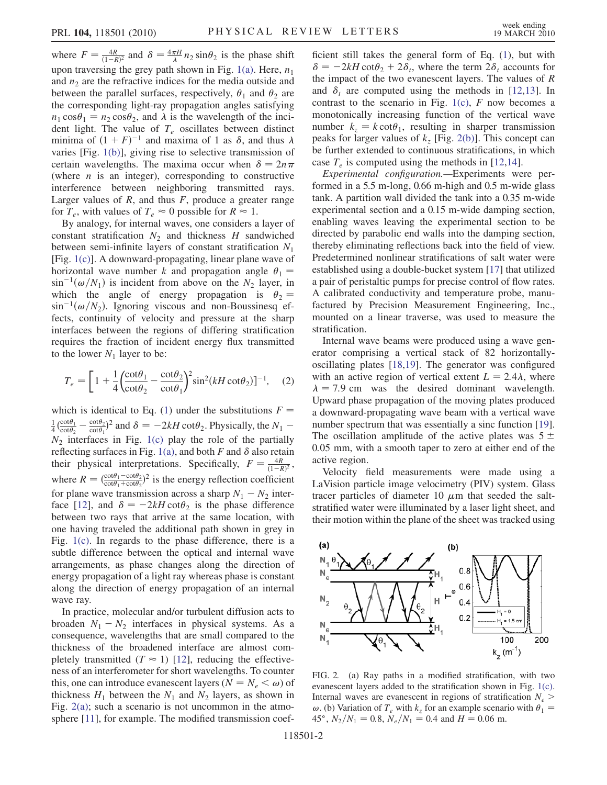where  $F = \frac{4R}{(1-R)^2}$  and  $\delta = \frac{4\pi H}{\lambda} n_2 \sin \theta_2$  is the phase shift upon traversing the grey path shown in Fig. 1(a). Here,  $n_1$ and  $n_2$  are the refractive indices for the media outside and between the parallel surfaces, respectively,  $\theta_1$  and  $\theta_2$  are the corresponding light-ray propagation angles satisfying  $n_1 \cos\theta_1 = n_2 \cos\theta_2$ , and  $\lambda$  is the wavelength of the incident light. The value of  $T_e$  oscillates between distinct minima of  $(1 + F)^{-1}$  and maxima of 1 as  $\delta$ , and thus  $\lambda$ varies [Fig. 1(b)], giving rise to selective transmission of certain wavelengths. The maxima occur when  $\delta = 2n\pi$ (where  $n$  is an integer), corresponding to constructive interference between neighboring transmitted rays. Larger values of  $R$ , and thus  $F$ , produce a greater range for  $T_e$ , with values of  $T_e \approx 0$  possible for  $R \approx 1$ .

By analogy, for internal waves, one considers a layer of constant stratification  $N_2$  and thickness H sandwiched between semi-infinite layers of constant stratification  $N_1$ [Fig. 1(c)]. A downward-propagating, linear plane wave of horizontal wave number k and propagation angle  $\theta_1$  =  $\sin^{-1}(\omega/N_1)$  is incident from above on the  $N_2$  layer, in which the angle of energy propagation is  $\theta_2 =$  $\sin^{-1}(\omega/N_2)$ . Ignoring viscous and non-Boussinesq effects, continuity of velocity and pressure at the sharp interfaces between the regions of differing stratification requires the fraction of incident energy flux transmitted to the lower  $N_1$  layer to be:

$$
T_e = \left[1 + \frac{1}{4} \left(\frac{\cot \theta_1}{\cot \theta_2} - \frac{\cot \theta_2}{\cot \theta_1}\right)^2 \sin^2(kH \cot \theta_2)\right]^{-1}, \quad (2)
$$

which is identical to Eq. (1) under the substitutions  $F =$  $\frac{1}{4} \left( \frac{\cot \theta_1}{\cot \theta_2} - \frac{\cot \theta_2}{\cot \theta_1} \right)^2$  and  $\delta = -2kH \cot \theta_2$ . Physically, the  $N_1$  –  $N_2$  interfaces in Fig. 1(c) play the role of the partially reflecting surfaces in Fig. 1(a), and both F and  $\delta$  also retain their physical interpretations. Specifically,  $F = \frac{4R}{(1-R)^2}$ , where  $R = \left(\frac{\cot \theta_1 - \cot \theta_2}{\cot \theta_1 + \cot \theta_2}\right)^2$  is the energy reflection coefficient for plane wave transmission across a sharp  $N_1 - N_2$  interface [12], and  $\delta = -2kH \cot \theta_2$  is the phase difference between two rays that arrive at the same location, with one having traveled the additional path shown in grey in Fig. 1(c). In regards to the phase difference, there is a subtle difference between the optical and internal wave arrangements, as phase changes along the direction of energy propagation of a light ray whereas phase is constant along the direction of energy propagation of an internal wave ray.

In practice, molecular and/or turbulent diffusion acts to broaden  $N_1 - N_2$  interfaces in physical systems. As a consequence, wavelengths that are small compared to the thickness of the broadened interface are almost completely transmitted  $(T \approx 1)$  [12], reducing the effectiveness of an interferometer for short wavelengths. To counter this, one can introduce evanescent layers ( $N = N_e < \omega$ ) of thickness  $H_1$  between the  $N_1$  and  $N_2$  layers, as shown in Fig. 2(a); such a scenario is not uncommon in the atmosphere [11], for example. The modified transmission coefficient still takes the general form of Eq. (1), but with  $\delta = -2kH \cot\theta_2 + 2\delta_t$ , where the term  $2\delta_t$  accounts for the impact of the two evanescent layers. The values of  $R$ and  $\delta_t$  are computed using the methods in [12,13]. In contrast to the scenario in Fig.  $1(c)$ , F now becomes a monotonically increasing function of the vertical wave number  $k_z = k \cot \theta_1$ , resulting in sharper transmission peaks for larger values of  $k_z$  [Fig. 2(b)]. This concept can be further extended to continuous stratifications, in which case  $T_e$  is computed using the methods in [12,14].

Experimental configuration.—Experiments were performed in a 5.5 m-long, 0.66 m-high and 0.5 m-wide glass tank. A partition wall divided the tank into a 0.35 m-wide experimental section and a 0.15 m-wide damping section, enabling waves leaving the experimental section to be directed by parabolic end walls into the damping section, thereby eliminating reflections back into the field of view. Predetermined nonlinear stratifications of salt water were established using a double-bucket system [17] that utilized a pair of peristaltic pumps for precise control of flow rates. A calibrated conductivity and temperature probe, manufactured by Precision Measurement Engineering, Inc., mounted on a linear traverse, was used to measure the stratification.

Internal wave beams were produced using a wave generator comprising a vertical stack of 82 horizontallyoscillating plates [18,19]. The generator was configured with an active region of vertical extent  $L = 2.4\lambda$ , where  $\lambda = 7.9$  cm was the desired dominant wavelength. Upward phase propagation of the moving plates produced a downward-propagating wave beam with a vertical wave number spectrum that was essentially a sinc function [19]. The oscillation amplitude of the active plates was  $5 \pm$ 0:05 mm, with a smooth taper to zero at either end of the active region.

Velocity field measurements were made using a LaVision particle image velocimetry (PIV) system. Glass tracer particles of diameter 10  $\mu$ m that seeded the saltstratified water were illuminated by a laser light sheet, and their motion within the plane of the sheet was tracked using



FIG. 2. (a) Ray paths in a modified stratification, with two evanescent layers added to the stratification shown in Fig. 1(c). Internal waves are evanescent in regions of stratification  $N_e$  $\omega$ . (b) Variation of  $T_e$  with  $k_z$  for an example scenario with  $\theta_1 =$ 45°,  $N_2/N_1 = 0.8$ ,  $N_e/N_1 = 0.4$  and  $H = 0.06$  m.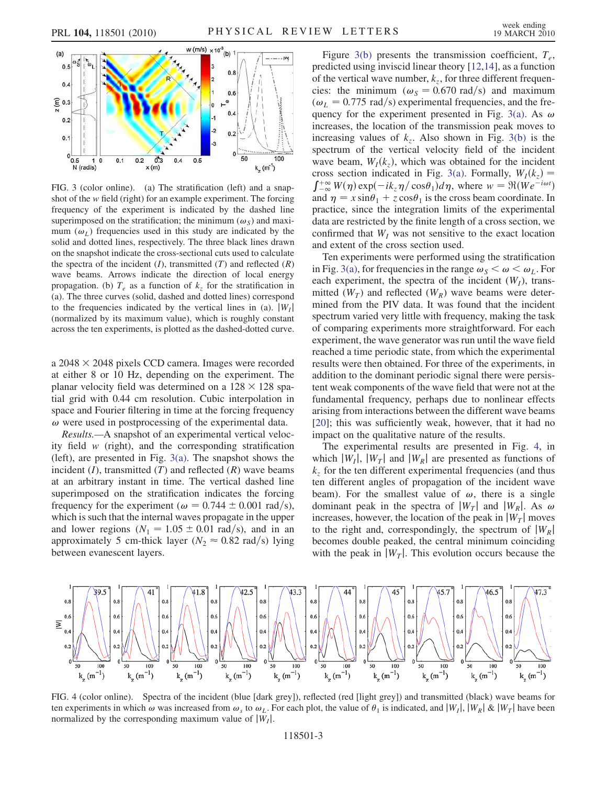

FIG. 3 (color online). (a) The stratification (left) and a snapshot of the w field (right) for an example experiment. The forcing frequency of the experiment is indicated by the dashed line superimposed on the stratification; the minimum  $(\omega_s)$  and maximum  $(\omega_l)$  frequencies used in this study are indicated by the solid and dotted lines, respectively. The three black lines drawn on the snapshot indicate the cross-sectional cuts used to calculate the spectra of the incident  $(I)$ , transmitted  $(T)$  and reflected  $(R)$ wave beams. Arrows indicate the direction of local energy propagation. (b)  $T_e$  as a function of  $k_z$  for the stratification in (a). The three curves (solid, dashed and dotted lines) correspond to the frequencies indicated by the vertical lines in (a).  $|W_I|$ (normalized by its maximum value), which is roughly constant across the ten experiments, is plotted as the dashed-dotted curve.

a  $2048 \times 2048$  pixels CCD camera. Images were recorded at either 8 or 10 Hz, depending on the experiment. The planar velocity field was determined on a  $128 \times 128$  spatial grid with 0.44 cm resolution. Cubic interpolation in space and Fourier filtering in time at the forcing frequency  $\omega$  were used in postprocessing of the experimental data.

Results.—A snapshot of an experimental vertical velocity field  $w$  (right), and the corresponding stratification (left), are presented in Fig. 3(a). The snapshot shows the incident  $(I)$ , transmitted  $(T)$  and reflected  $(R)$  wave beams at an arbitrary instant in time. The vertical dashed line superimposed on the stratification indicates the forcing frequency for the experiment ( $\omega = 0.744 \pm 0.001$  rad/s), which is such that the internal waves propagate in the upper and lower regions  $(N_1 = 1.05 \pm 0.01 \text{ rad/s})$ , and in an approximately 5 cm-thick layer ( $N_2 \approx 0.82$  rad/s) lying between evanescent layers.

Figure 3(b) presents the transmission coefficient,  $T_e$ , predicted using inviscid linear theory [12,14], as a function of the vertical wave number,  $k_z$ , for three different frequencies: the minimum ( $\omega_s = 0.670$  rad/s) and maximum  $(\omega_L = 0.775 \text{ rad/s})$  experimental frequencies, and the frequency for the experiment presented in Fig. 3(a). As  $\omega$ increases, the location of the transmission peak moves to increasing values of  $k_z$ . Also shown in Fig. 3(b) is the spectrum of the vertical velocity field of the incident wave beam,  $W_I(k_z)$ , which was obtained for the incident cross section indicated in Fig. 3(a). Formally,  $W_I(k_z)$  =  $\int_{-\infty}^{+\infty} W(\eta) \exp(-ik_z \eta / \cos \theta_1) d\eta$ , where  $w = \Re(We^{-i\omega t})$ and  $\eta = x \sin \theta_1 + z \cos \theta_1$  is the cross beam coordinate. In practice, since the integration limits of the experimental data are restricted by the finite length of a cross section, we confirmed that  $W_I$  was not sensitive to the exact location and extent of the cross section used.

Ten experiments were performed using the stratification in Fig. 3(a), for frequencies in the range  $\omega_s < \omega < \omega_L$ . For each experiment, the spectra of the incident  $(W_I)$ , transmitted  $(W_T)$  and reflected  $(W_R)$  wave beams were determined from the PIV data. It was found that the incident spectrum varied very little with frequency, making the task of comparing experiments more straightforward. For each experiment, the wave generator was run until the wave field reached a time periodic state, from which the experimental results were then obtained. For three of the experiments, in addition to the dominant periodic signal there were persistent weak components of the wave field that were not at the fundamental frequency, perhaps due to nonlinear effects arising from interactions between the different wave beams [20]; this was sufficiently weak, however, that it had no impact on the qualitative nature of the results.

The experimental results are presented in Fig. 4, in which  $|W_I|$ ,  $|W_T|$  and  $|W_R|$  are presented as functions of  $k<sub>z</sub>$  for the ten different experimental frequencies (and thus ten different angles of propagation of the incident wave beam). For the smallest value of  $\omega$ , there is a single dominant peak in the spectra of  $|W_T|$  and  $|W_R|$ . As  $\omega$ increases, however, the location of the peak in  $|W_T|$  moves to the right and, correspondingly, the spectrum of  $|W_R|$ becomes double peaked, the central minimum coinciding with the peak in  $|W_T|$ . This evolution occurs because the



FIG. 4 (color online). Spectra of the incident (blue [dark grey]), reflected (red [light grey]) and transmitted (black) wave beams for ten experiments in which  $\omega$  was increased from  $\omega_s$  to  $\omega_L$ . For each plot, the value of  $\theta_1$  is indicated, and  $|W_I|, |W_R| \& |W_T|$  have been normalized by the corresponding maximum value of  $|W_I|$ .